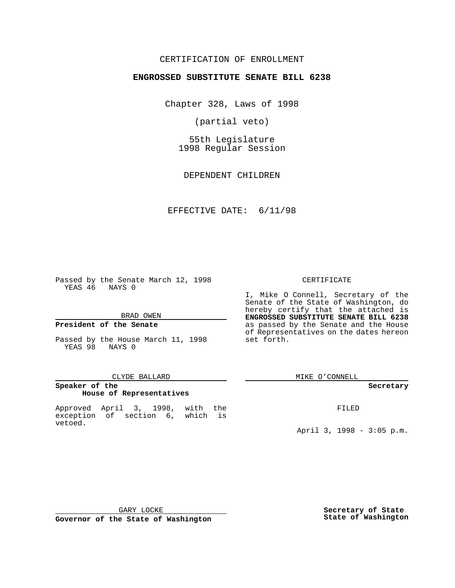### CERTIFICATION OF ENROLLMENT

## **ENGROSSED SUBSTITUTE SENATE BILL 6238**

Chapter 328, Laws of 1998

(partial veto)

55th Legislature 1998 Regular Session

DEPENDENT CHILDREN

#### EFFECTIVE DATE: 6/11/98

Passed by the Senate March 12, 1998 YEAS 46 NAYS 0

### BRAD OWEN

### **President of the Senate**

Passed by the House March 11, 1998 YEAS 98 NAYS 0

#### CLYDE BALLARD

### **Speaker of the House of Representatives**

Approved April 3, 1998, with the exception of section 6, which is vetoed.

#### CERTIFICATE

I, Mike O Connell, Secretary of the Senate of the State of Washington, do hereby certify that the attached is **ENGROSSED SUBSTITUTE SENATE BILL 6238** as passed by the Senate and the House of Representatives on the dates hereon set forth.

MIKE O'CONNELL

#### **Secretary**

FILED

April 3, 1998 - 3:05 p.m.

GARY LOCKE

**Governor of the State of Washington**

**Secretary of State State of Washington**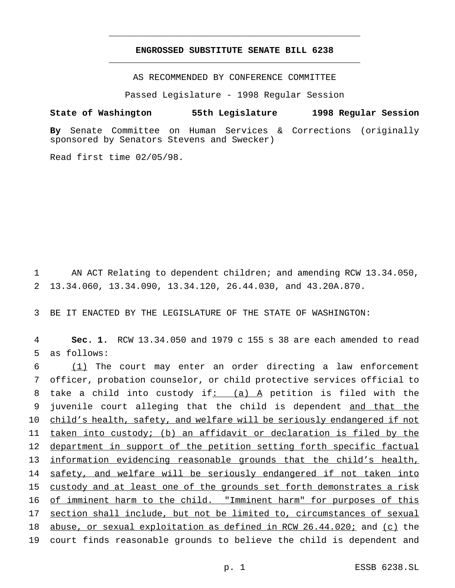## **ENGROSSED SUBSTITUTE SENATE BILL 6238** \_\_\_\_\_\_\_\_\_\_\_\_\_\_\_\_\_\_\_\_\_\_\_\_\_\_\_\_\_\_\_\_\_\_\_\_\_\_\_\_\_\_\_\_\_\_\_

\_\_\_\_\_\_\_\_\_\_\_\_\_\_\_\_\_\_\_\_\_\_\_\_\_\_\_\_\_\_\_\_\_\_\_\_\_\_\_\_\_\_\_\_\_\_\_

AS RECOMMENDED BY CONFERENCE COMMITTEE

Passed Legislature - 1998 Regular Session

# **State of Washington 55th Legislature 1998 Regular Session**

**By** Senate Committee on Human Services & Corrections (originally sponsored by Senators Stevens and Swecker)

Read first time 02/05/98.

1 AN ACT Relating to dependent children; and amending RCW 13.34.050, 2 13.34.060, 13.34.090, 13.34.120, 26.44.030, and 43.20A.870.

3 BE IT ENACTED BY THE LEGISLATURE OF THE STATE OF WASHINGTON:

4 **Sec. 1.** RCW 13.34.050 and 1979 c 155 s 38 are each amended to read 5 as follows:

6 (1) The court may enter an order directing a law enforcement 7 officer, probation counselor, or child protective services official to 8 take a child into custody if:  $(a)$  A petition is filed with the 9 juvenile court alleging that the child is dependent and that the 10 child's health, safety, and welfare will be seriously endangered if not 11 taken into custody; (b) an affidavit or declaration is filed by the 12 department in support of the petition setting forth specific factual 13 information evidencing reasonable grounds that the child's health, 14 safety, and welfare will be seriously endangered if not taken into 15 custody and at least one of the grounds set forth demonstrates a risk 16 of imminent harm to the child. "Imminent harm" for purposes of this 17 section shall include, but not be limited to, circumstances of sexual 18 abuse, or sexual exploitation as defined in RCW 26.44.020; and (c) the 19 court finds reasonable grounds to believe the child is dependent and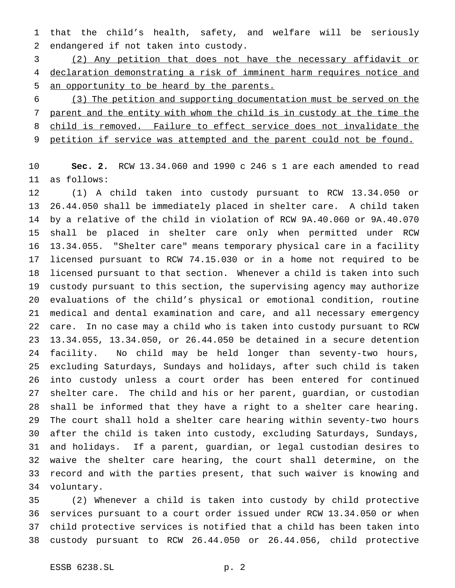that the child's health, safety, and welfare will be seriously endangered if not taken into custody.

 (2) Any petition that does not have the necessary affidavit or declaration demonstrating a risk of imminent harm requires notice and an opportunity to be heard by the parents.

 (3) The petition and supporting documentation must be served on the parent and the entity with whom the child is in custody at the time the 8 child is removed. Failure to effect service does not invalidate the 9 petition if service was attempted and the parent could not be found.

 **Sec. 2.** RCW 13.34.060 and 1990 c 246 s 1 are each amended to read as follows:

 (1) A child taken into custody pursuant to RCW 13.34.050 or 26.44.050 shall be immediately placed in shelter care. A child taken by a relative of the child in violation of RCW 9A.40.060 or 9A.40.070 shall be placed in shelter care only when permitted under RCW 13.34.055. "Shelter care" means temporary physical care in a facility licensed pursuant to RCW 74.15.030 or in a home not required to be licensed pursuant to that section. Whenever a child is taken into such custody pursuant to this section, the supervising agency may authorize evaluations of the child's physical or emotional condition, routine medical and dental examination and care, and all necessary emergency care. In no case may a child who is taken into custody pursuant to RCW 13.34.055, 13.34.050, or 26.44.050 be detained in a secure detention facility. No child may be held longer than seventy-two hours, excluding Saturdays, Sundays and holidays, after such child is taken into custody unless a court order has been entered for continued shelter care. The child and his or her parent, guardian, or custodian shall be informed that they have a right to a shelter care hearing. The court shall hold a shelter care hearing within seventy-two hours after the child is taken into custody, excluding Saturdays, Sundays, and holidays. If a parent, guardian, or legal custodian desires to waive the shelter care hearing, the court shall determine, on the record and with the parties present, that such waiver is knowing and voluntary.

 (2) Whenever a child is taken into custody by child protective services pursuant to a court order issued under RCW 13.34.050 or when child protective services is notified that a child has been taken into custody pursuant to RCW 26.44.050 or 26.44.056, child protective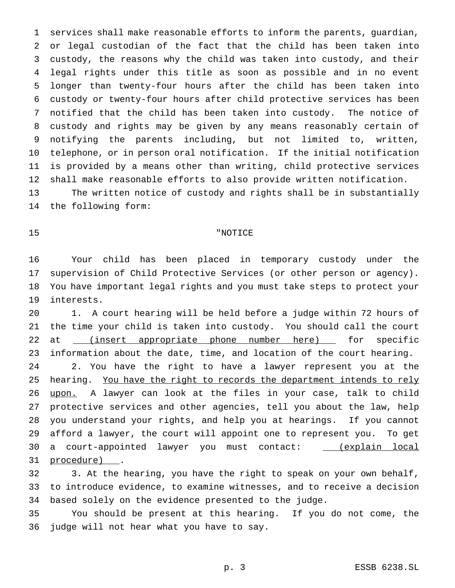services shall make reasonable efforts to inform the parents, guardian, or legal custodian of the fact that the child has been taken into custody, the reasons why the child was taken into custody, and their legal rights under this title as soon as possible and in no event longer than twenty-four hours after the child has been taken into custody or twenty-four hours after child protective services has been notified that the child has been taken into custody. The notice of custody and rights may be given by any means reasonably certain of notifying the parents including, but not limited to, written, telephone, or in person oral notification. If the initial notification is provided by a means other than writing, child protective services shall make reasonable efforts to also provide written notification.

 The written notice of custody and rights shall be in substantially the following form:

### "NOTICE

 Your child has been placed in temporary custody under the supervision of Child Protective Services (or other person or agency). You have important legal rights and you must take steps to protect your interests.

 1. A court hearing will be held before a judge within 72 hours of the time your child is taken into custody. You should call the court 22 at \_\_\_(insert appropriate phone number here) \_\_\_ for specific information about the date, time, and location of the court hearing. 2. You have the right to have a lawyer represent you at the hearing. You have the right to records the department intends to rely 26 upon. A lawyer can look at the files in your case, talk to child protective services and other agencies, tell you about the law, help you understand your rights, and help you at hearings. If you cannot afford a lawyer, the court will appoint one to represent you. To get 30 a court-appointed lawyer you must contact: \_\_\_(explain local 31 procedure).

 3. At the hearing, you have the right to speak on your own behalf, to introduce evidence, to examine witnesses, and to receive a decision based solely on the evidence presented to the judge.

 You should be present at this hearing. If you do not come, the judge will not hear what you have to say.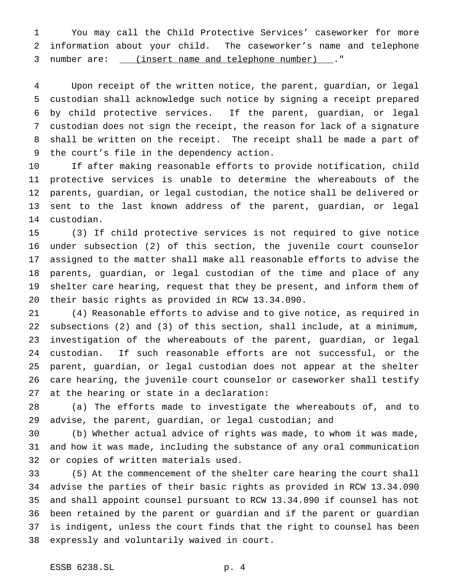You may call the Child Protective Services' caseworker for more information about your child. The caseworker's name and telephone 3 number are: \_\_\_(insert name and telephone number) \_\_\_. "

 Upon receipt of the written notice, the parent, guardian, or legal custodian shall acknowledge such notice by signing a receipt prepared by child protective services. If the parent, guardian, or legal custodian does not sign the receipt, the reason for lack of a signature shall be written on the receipt. The receipt shall be made a part of the court's file in the dependency action.

 If after making reasonable efforts to provide notification, child protective services is unable to determine the whereabouts of the parents, guardian, or legal custodian, the notice shall be delivered or sent to the last known address of the parent, guardian, or legal custodian.

 (3) If child protective services is not required to give notice under subsection (2) of this section, the juvenile court counselor assigned to the matter shall make all reasonable efforts to advise the parents, guardian, or legal custodian of the time and place of any shelter care hearing, request that they be present, and inform them of their basic rights as provided in RCW 13.34.090.

 (4) Reasonable efforts to advise and to give notice, as required in subsections (2) and (3) of this section, shall include, at a minimum, investigation of the whereabouts of the parent, guardian, or legal custodian. If such reasonable efforts are not successful, or the parent, guardian, or legal custodian does not appear at the shelter care hearing, the juvenile court counselor or caseworker shall testify at the hearing or state in a declaration:

 (a) The efforts made to investigate the whereabouts of, and to advise, the parent, guardian, or legal custodian; and

 (b) Whether actual advice of rights was made, to whom it was made, and how it was made, including the substance of any oral communication or copies of written materials used.

 (5) At the commencement of the shelter care hearing the court shall advise the parties of their basic rights as provided in RCW 13.34.090 and shall appoint counsel pursuant to RCW 13.34.090 if counsel has not been retained by the parent or guardian and if the parent or guardian is indigent, unless the court finds that the right to counsel has been expressly and voluntarily waived in court.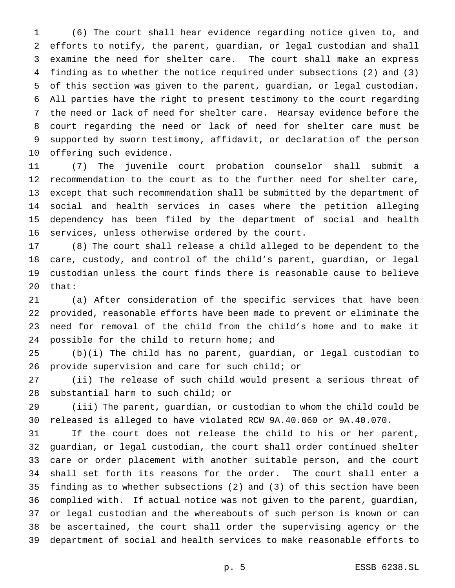(6) The court shall hear evidence regarding notice given to, and efforts to notify, the parent, guardian, or legal custodian and shall examine the need for shelter care. The court shall make an express finding as to whether the notice required under subsections (2) and (3) of this section was given to the parent, guardian, or legal custodian. All parties have the right to present testimony to the court regarding the need or lack of need for shelter care. Hearsay evidence before the court regarding the need or lack of need for shelter care must be supported by sworn testimony, affidavit, or declaration of the person offering such evidence.

 (7) The juvenile court probation counselor shall submit a recommendation to the court as to the further need for shelter care, except that such recommendation shall be submitted by the department of social and health services in cases where the petition alleging dependency has been filed by the department of social and health services, unless otherwise ordered by the court.

 (8) The court shall release a child alleged to be dependent to the care, custody, and control of the child's parent, guardian, or legal custodian unless the court finds there is reasonable cause to believe that:

 (a) After consideration of the specific services that have been provided, reasonable efforts have been made to prevent or eliminate the need for removal of the child from the child's home and to make it 24 possible for the child to return home; and

 (b)(i) The child has no parent, guardian, or legal custodian to provide supervision and care for such child; or

 (ii) The release of such child would present a serious threat of substantial harm to such child; or

 (iii) The parent, guardian, or custodian to whom the child could be released is alleged to have violated RCW 9A.40.060 or 9A.40.070.

 If the court does not release the child to his or her parent, guardian, or legal custodian, the court shall order continued shelter care or order placement with another suitable person, and the court shall set forth its reasons for the order. The court shall enter a finding as to whether subsections (2) and (3) of this section have been complied with. If actual notice was not given to the parent, guardian, or legal custodian and the whereabouts of such person is known or can be ascertained, the court shall order the supervising agency or the department of social and health services to make reasonable efforts to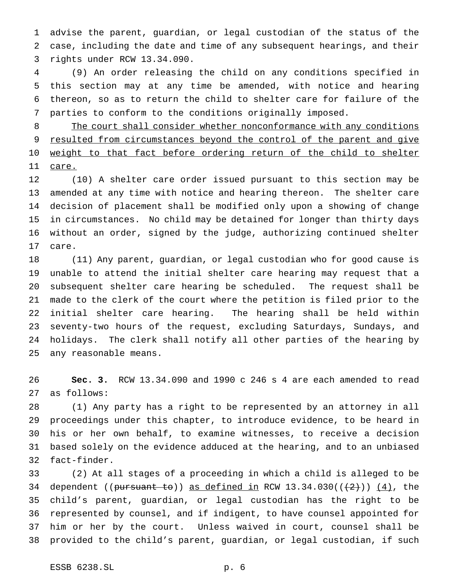advise the parent, guardian, or legal custodian of the status of the case, including the date and time of any subsequent hearings, and their rights under RCW 13.34.090.

 (9) An order releasing the child on any conditions specified in this section may at any time be amended, with notice and hearing thereon, so as to return the child to shelter care for failure of the parties to conform to the conditions originally imposed.

8 The court shall consider whether nonconformance with any conditions resulted from circumstances beyond the control of the parent and give 10 weight to that fact before ordering return of the child to shelter care.

 (10) A shelter care order issued pursuant to this section may be amended at any time with notice and hearing thereon. The shelter care decision of placement shall be modified only upon a showing of change in circumstances. No child may be detained for longer than thirty days without an order, signed by the judge, authorizing continued shelter care.

 (11) Any parent, guardian, or legal custodian who for good cause is unable to attend the initial shelter care hearing may request that a subsequent shelter care hearing be scheduled. The request shall be made to the clerk of the court where the petition is filed prior to the initial shelter care hearing. The hearing shall be held within seventy-two hours of the request, excluding Saturdays, Sundays, and holidays. The clerk shall notify all other parties of the hearing by any reasonable means.

 **Sec. 3.** RCW 13.34.090 and 1990 c 246 s 4 are each amended to read as follows:

 (1) Any party has a right to be represented by an attorney in all proceedings under this chapter, to introduce evidence, to be heard in his or her own behalf, to examine witnesses, to receive a decision based solely on the evidence adduced at the hearing, and to an unbiased fact-finder.

 (2) At all stages of a proceeding in which a child is alleged to be 34 dependent ((pursuant to)) as defined in RCW  $13.34.030((+2))$   $(4)$ , the child's parent, guardian, or legal custodian has the right to be represented by counsel, and if indigent, to have counsel appointed for him or her by the court. Unless waived in court, counsel shall be provided to the child's parent, guardian, or legal custodian, if such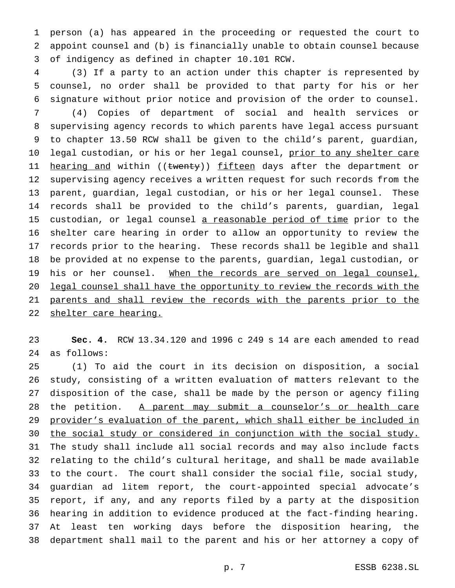person (a) has appeared in the proceeding or requested the court to appoint counsel and (b) is financially unable to obtain counsel because of indigency as defined in chapter 10.101 RCW.

 (3) If a party to an action under this chapter is represented by counsel, no order shall be provided to that party for his or her signature without prior notice and provision of the order to counsel.

 (4) Copies of department of social and health services or supervising agency records to which parents have legal access pursuant to chapter 13.50 RCW shall be given to the child's parent, guardian, 10 legal custodian, or his or her legal counsel, prior to any shelter care 11 <u>hearing and</u> within ((<del>twenty</del>)) <u>fifteen</u> days after the department or supervising agency receives a written request for such records from the parent, guardian, legal custodian, or his or her legal counsel. These records shall be provided to the child's parents, guardian, legal 15 custodian, or legal counsel a reasonable period of time prior to the shelter care hearing in order to allow an opportunity to review the records prior to the hearing. These records shall be legible and shall be provided at no expense to the parents, guardian, legal custodian, or 19 his or her counsel. When the records are served on legal counsel, legal counsel shall have the opportunity to review the records with the 21 parents and shall review the records with the parents prior to the 22 shelter care hearing.

 **Sec. 4.** RCW 13.34.120 and 1996 c 249 s 14 are each amended to read as follows:

 (1) To aid the court in its decision on disposition, a social study, consisting of a written evaluation of matters relevant to the disposition of the case, shall be made by the person or agency filing 28 the petition. A parent may submit a counselor's or health care provider's evaluation of the parent, which shall either be included in the social study or considered in conjunction with the social study. The study shall include all social records and may also include facts relating to the child's cultural heritage, and shall be made available to the court. The court shall consider the social file, social study, guardian ad litem report, the court-appointed special advocate's report, if any, and any reports filed by a party at the disposition hearing in addition to evidence produced at the fact-finding hearing. At least ten working days before the disposition hearing, the department shall mail to the parent and his or her attorney a copy of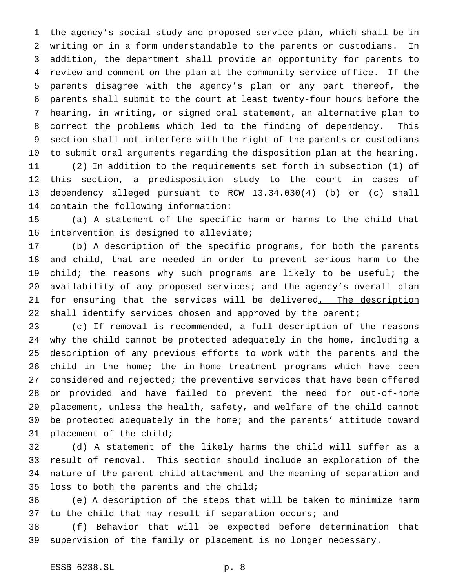the agency's social study and proposed service plan, which shall be in writing or in a form understandable to the parents or custodians. In addition, the department shall provide an opportunity for parents to review and comment on the plan at the community service office. If the parents disagree with the agency's plan or any part thereof, the parents shall submit to the court at least twenty-four hours before the hearing, in writing, or signed oral statement, an alternative plan to correct the problems which led to the finding of dependency. This section shall not interfere with the right of the parents or custodians to submit oral arguments regarding the disposition plan at the hearing. (2) In addition to the requirements set forth in subsection (1) of this section, a predisposition study to the court in cases of dependency alleged pursuant to RCW 13.34.030(4) (b) or (c) shall contain the following information:

 (a) A statement of the specific harm or harms to the child that intervention is designed to alleviate;

 (b) A description of the specific programs, for both the parents and child, that are needed in order to prevent serious harm to the 19 child; the reasons why such programs are likely to be useful; the availability of any proposed services; and the agency's overall plan 21 for ensuring that the services will be delivered. The description 22 shall identify services chosen and approved by the parent;

 (c) If removal is recommended, a full description of the reasons why the child cannot be protected adequately in the home, including a description of any previous efforts to work with the parents and the child in the home; the in-home treatment programs which have been considered and rejected; the preventive services that have been offered or provided and have failed to prevent the need for out-of-home placement, unless the health, safety, and welfare of the child cannot be protected adequately in the home; and the parents' attitude toward placement of the child;

 (d) A statement of the likely harms the child will suffer as a result of removal. This section should include an exploration of the nature of the parent-child attachment and the meaning of separation and loss to both the parents and the child;

 (e) A description of the steps that will be taken to minimize harm 37 to the child that may result if separation occurs; and

 (f) Behavior that will be expected before determination that supervision of the family or placement is no longer necessary.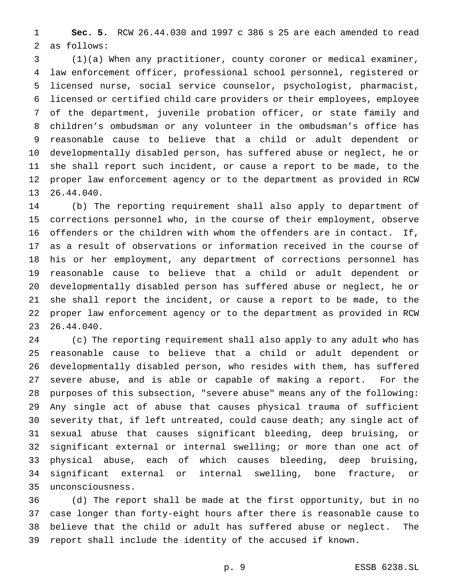**Sec. 5.** RCW 26.44.030 and 1997 c 386 s 25 are each amended to read as follows:

 (1)(a) When any practitioner, county coroner or medical examiner, law enforcement officer, professional school personnel, registered or licensed nurse, social service counselor, psychologist, pharmacist, licensed or certified child care providers or their employees, employee of the department, juvenile probation officer, or state family and children's ombudsman or any volunteer in the ombudsman's office has reasonable cause to believe that a child or adult dependent or developmentally disabled person, has suffered abuse or neglect, he or she shall report such incident, or cause a report to be made, to the proper law enforcement agency or to the department as provided in RCW 26.44.040.

 (b) The reporting requirement shall also apply to department of corrections personnel who, in the course of their employment, observe offenders or the children with whom the offenders are in contact. If, as a result of observations or information received in the course of his or her employment, any department of corrections personnel has reasonable cause to believe that a child or adult dependent or developmentally disabled person has suffered abuse or neglect, he or she shall report the incident, or cause a report to be made, to the proper law enforcement agency or to the department as provided in RCW 26.44.040.

 (c) The reporting requirement shall also apply to any adult who has reasonable cause to believe that a child or adult dependent or developmentally disabled person, who resides with them, has suffered severe abuse, and is able or capable of making a report. For the purposes of this subsection, "severe abuse" means any of the following: Any single act of abuse that causes physical trauma of sufficient severity that, if left untreated, could cause death; any single act of sexual abuse that causes significant bleeding, deep bruising, or significant external or internal swelling; or more than one act of physical abuse, each of which causes bleeding, deep bruising, significant external or internal swelling, bone fracture, or unconsciousness.

 (d) The report shall be made at the first opportunity, but in no case longer than forty-eight hours after there is reasonable cause to believe that the child or adult has suffered abuse or neglect. The report shall include the identity of the accused if known.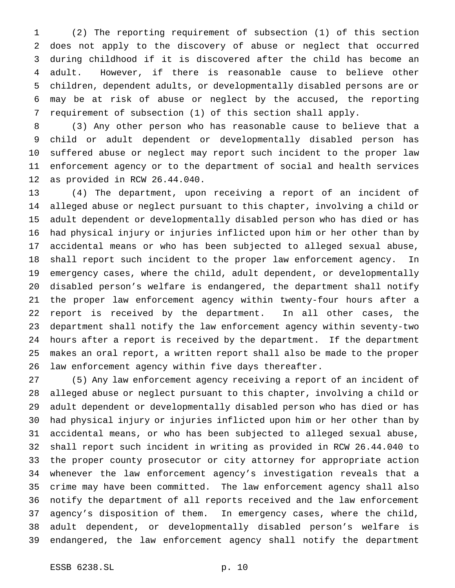(2) The reporting requirement of subsection (1) of this section does not apply to the discovery of abuse or neglect that occurred during childhood if it is discovered after the child has become an adult. However, if there is reasonable cause to believe other children, dependent adults, or developmentally disabled persons are or may be at risk of abuse or neglect by the accused, the reporting requirement of subsection (1) of this section shall apply.

 (3) Any other person who has reasonable cause to believe that a child or adult dependent or developmentally disabled person has suffered abuse or neglect may report such incident to the proper law enforcement agency or to the department of social and health services as provided in RCW 26.44.040.

 (4) The department, upon receiving a report of an incident of alleged abuse or neglect pursuant to this chapter, involving a child or adult dependent or developmentally disabled person who has died or has had physical injury or injuries inflicted upon him or her other than by accidental means or who has been subjected to alleged sexual abuse, shall report such incident to the proper law enforcement agency. In emergency cases, where the child, adult dependent, or developmentally disabled person's welfare is endangered, the department shall notify the proper law enforcement agency within twenty-four hours after a report is received by the department. In all other cases, the department shall notify the law enforcement agency within seventy-two hours after a report is received by the department. If the department makes an oral report, a written report shall also be made to the proper law enforcement agency within five days thereafter.

 (5) Any law enforcement agency receiving a report of an incident of alleged abuse or neglect pursuant to this chapter, involving a child or adult dependent or developmentally disabled person who has died or has had physical injury or injuries inflicted upon him or her other than by accidental means, or who has been subjected to alleged sexual abuse, shall report such incident in writing as provided in RCW 26.44.040 to the proper county prosecutor or city attorney for appropriate action whenever the law enforcement agency's investigation reveals that a crime may have been committed. The law enforcement agency shall also notify the department of all reports received and the law enforcement agency's disposition of them. In emergency cases, where the child, adult dependent, or developmentally disabled person's welfare is endangered, the law enforcement agency shall notify the department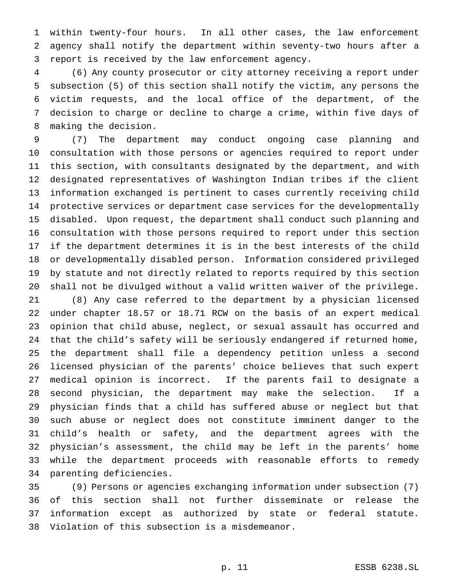within twenty-four hours. In all other cases, the law enforcement agency shall notify the department within seventy-two hours after a report is received by the law enforcement agency.

 (6) Any county prosecutor or city attorney receiving a report under subsection (5) of this section shall notify the victim, any persons the victim requests, and the local office of the department, of the decision to charge or decline to charge a crime, within five days of making the decision.

 (7) The department may conduct ongoing case planning and consultation with those persons or agencies required to report under this section, with consultants designated by the department, and with designated representatives of Washington Indian tribes if the client information exchanged is pertinent to cases currently receiving child protective services or department case services for the developmentally disabled. Upon request, the department shall conduct such planning and consultation with those persons required to report under this section if the department determines it is in the best interests of the child or developmentally disabled person. Information considered privileged by statute and not directly related to reports required by this section shall not be divulged without a valid written waiver of the privilege.

 (8) Any case referred to the department by a physician licensed under chapter 18.57 or 18.71 RCW on the basis of an expert medical opinion that child abuse, neglect, or sexual assault has occurred and that the child's safety will be seriously endangered if returned home, the department shall file a dependency petition unless a second licensed physician of the parents' choice believes that such expert medical opinion is incorrect. If the parents fail to designate a second physician, the department may make the selection. If a physician finds that a child has suffered abuse or neglect but that such abuse or neglect does not constitute imminent danger to the child's health or safety, and the department agrees with the physician's assessment, the child may be left in the parents' home while the department proceeds with reasonable efforts to remedy parenting deficiencies.

 (9) Persons or agencies exchanging information under subsection (7) of this section shall not further disseminate or release the information except as authorized by state or federal statute. Violation of this subsection is a misdemeanor.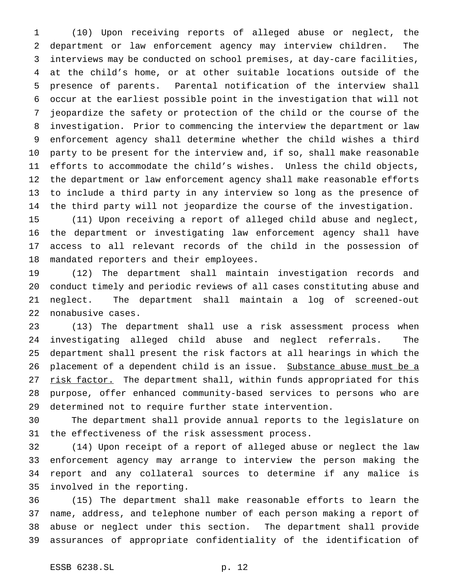(10) Upon receiving reports of alleged abuse or neglect, the department or law enforcement agency may interview children. The interviews may be conducted on school premises, at day-care facilities, at the child's home, or at other suitable locations outside of the presence of parents. Parental notification of the interview shall occur at the earliest possible point in the investigation that will not jeopardize the safety or protection of the child or the course of the investigation. Prior to commencing the interview the department or law enforcement agency shall determine whether the child wishes a third party to be present for the interview and, if so, shall make reasonable efforts to accommodate the child's wishes. Unless the child objects, the department or law enforcement agency shall make reasonable efforts to include a third party in any interview so long as the presence of the third party will not jeopardize the course of the investigation.

 (11) Upon receiving a report of alleged child abuse and neglect, the department or investigating law enforcement agency shall have access to all relevant records of the child in the possession of mandated reporters and their employees.

 (12) The department shall maintain investigation records and conduct timely and periodic reviews of all cases constituting abuse and neglect. The department shall maintain a log of screened-out nonabusive cases.

 (13) The department shall use a risk assessment process when investigating alleged child abuse and neglect referrals. The department shall present the risk factors at all hearings in which the 26 placement of a dependent child is an issue. Substance abuse must be a 27 risk factor. The department shall, within funds appropriated for this purpose, offer enhanced community-based services to persons who are determined not to require further state intervention.

 The department shall provide annual reports to the legislature on the effectiveness of the risk assessment process.

 (14) Upon receipt of a report of alleged abuse or neglect the law enforcement agency may arrange to interview the person making the report and any collateral sources to determine if any malice is involved in the reporting.

 (15) The department shall make reasonable efforts to learn the name, address, and telephone number of each person making a report of abuse or neglect under this section. The department shall provide assurances of appropriate confidentiality of the identification of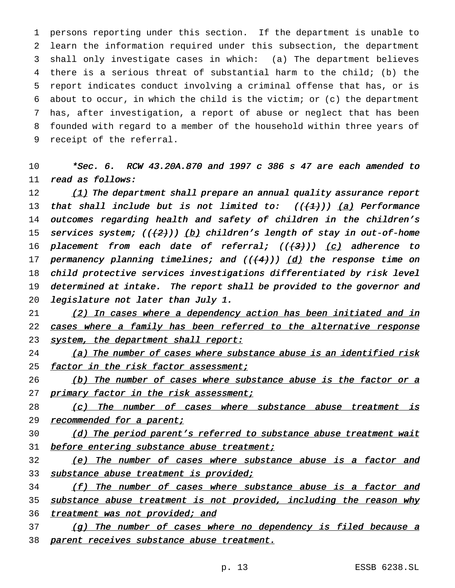persons reporting under this section. If the department is unable to learn the information required under this subsection, the department shall only investigate cases in which: (a) The department believes there is a serious threat of substantial harm to the child; (b) the report indicates conduct involving a criminal offense that has, or is about to occur, in which the child is the victim; or (c) the department has, after investigation, a report of abuse or neglect that has been founded with regard to a member of the household within three years of receipt of the referral.

10 \*Sec. 6. RCW 43.20A.870 and <sup>1997</sup> <sup>c</sup> <sup>386</sup> <sup>s</sup> <sup>47</sup> are each amended to 11 read as follows:

12 (1) The department shall prepare an annual quality assurance report 13 that shall include but is not limited to:  $((+1))$  (a) Performance 14 outcomes regarding health and safety of children in the children's 15 services system;  $((2))$  (b) children's length of stay in out-of-home 16 placement from each date of referral;  $((+3))$   $(c)$  adherence to 17 permanency planning timelines; and  $((+4))$   $(d)$  the response time on 18 child protective services investigations differentiated by risk level 19 determined at intake. The report shall be provided to the governor and 20 legislature not later than July 1.

21 (2) In cases where a dependency action has been initiated and in 22 cases where a family has been referred to the alternative response 23 system, the department shall report:

24 (a) The number of cases where substance abuse is an identified risk 25 factor in the risk factor assessment;

26 (b) The number of cases where substance abuse is the factor or <sup>a</sup> 27 primary factor in the risk assessment;

28 (c) The number of cases where substance abuse treatment is 29 recommended for a parent;

30 (d) The period parent's referred to substance abuse treatment wait 31 before entering substance abuse treatment;

32 (e) The number of cases where substance abuse is a factor and 33 substance abuse treatment is provided;

34 (f) The number of cases where substance abuse is <sup>a</sup> factor and 35 substance abuse treatment is not provided, including the reason why 36 treatment was not provided; and

37 (g) The number of cases where no dependency is filed because a 38 parent receives substance abuse treatment.